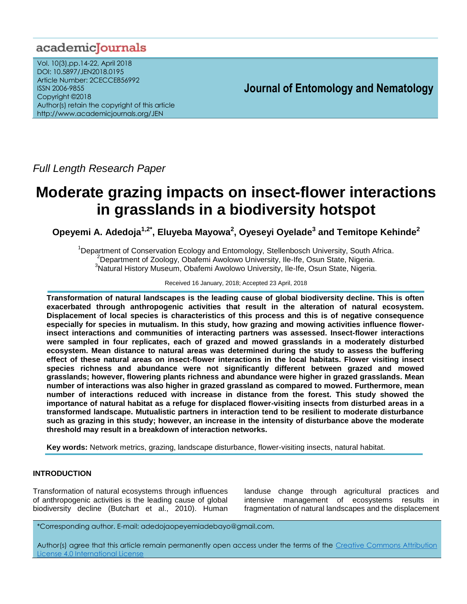# academicJournals

Vol. 10(3),pp.14-22, April 2018 DOI: 10.5897/JEN2018.0195 Article Number: 2CECCE856992 ISSN 2006-9855 Copyright ©2018 Author(s) retain the copyright of this article http://www.academicjournals.org/JEN

# **Journal of Entomology and Nematology**

*Full Length Research Paper*

# **Moderate grazing impacts on insect-flower interactions in grasslands in a biodiversity hotspot**

**Opeyemi A. Adedoja1,2\* , Eluyeba Mayowa<sup>2</sup> , Oyeseyi Oyelade<sup>3</sup> and Temitope Kehinde<sup>2</sup>**

<sup>1</sup>Department of Conservation Ecology and Entomology, Stellenbosch University, South Africa.  $2D$ epartment of Zoology, Obafemi Awolowo University, Ile-Ife, Osun State, Nigeria. <sup>3</sup>Natural History Museum, Obafemi Awolowo University, Ile-Ife, Osun State, Nigeria.

## Received 16 January, 2018; Accepted 23 April, 2018

**Transformation of natural landscapes is the leading cause of global biodiversity decline. This is often exacerbated through anthropogenic activities that result in the alteration of natural ecosystem. Displacement of local species is characteristics of this process and this is of negative consequence especially for species in mutualism. In this study, how grazing and mowing activities influence flowerinsect interactions and communities of interacting partners was assessed. Insect-flower interactions were sampled in four replicates, each of grazed and mowed grasslands in a moderately disturbed ecosystem. Mean distance to natural areas was determined during the study to assess the buffering effect of these natural areas on insect-flower interactions in the local habitats. Flower visiting insect species richness and abundance were not significantly different between grazed and mowed grasslands; however, flowering plants richness and abundance were higher in grazed grasslands. Mean number of interactions was also higher in grazed grassland as compared to mowed. Furthermore, mean number of interactions reduced with increase in distance from the forest. This study showed the importance of natural habitat as a refuge for displaced flower-visiting insects from disturbed areas in a transformed landscape. Mutualistic partners in interaction tend to be resilient to moderate disturbance such as grazing in this study; however, an increase in the intensity of disturbance above the moderate threshold may result in a breakdown of interaction networks.**

**Key words:** Network metrics, grazing, landscape disturbance, flower-visiting insects, natural habitat.

# **INTRODUCTION**

Transformation of natural ecosystems through influences of anthropogenic activities is the leading cause of global biodiversity decline (Butchart et al., 2010). Human

landuse change through agricultural practices and intensive management of ecosystems results in fragmentation of natural landscapes and the displacement

\*Corresponding author. E-mail: adedojaopeyemiadebayo@gmail.com.

Author(s) agree that this article remain permanently open access under the terms of the Creative Commons Attribution [License 4.0 International License](http://creativecommons.org/licenses/by/4.0/deed.en_US)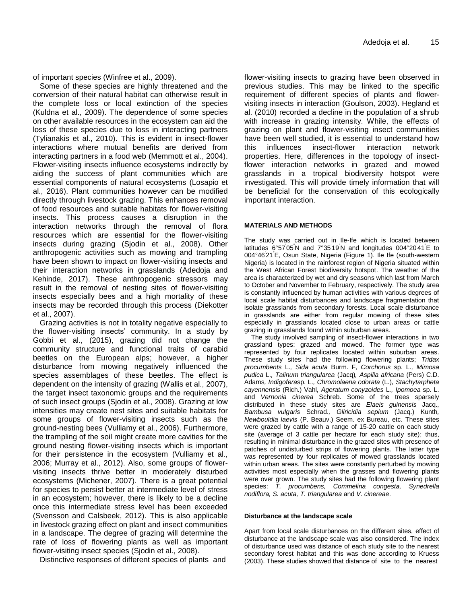of important species (Winfree et al., 2009).

Some of these species are highly threatened and the conversion of their natural habitat can otherwise result in the complete loss or local extinction of the species (Kuldna et al., 2009). The dependence of some species on other available resources in the ecosystem can aid the loss of these species due to loss in interacting partners (Tylianakis et al., 2010). This is evident in insect-flower interactions where mutual benefits are derived from interacting partners in a food web (Memmott et al., 2004). Flower-visiting insects influence ecosystems indirectly by aiding the success of plant communities which are essential components of natural ecosystems (Losapio et al., 2016). Plant communities however can be modified directly through livestock grazing. This enhances removal of food resources and suitable habitats for flower-visiting insects. This process causes a disruption in the interaction networks through the removal of flora resources which are essential for the flower-visiting insects during grazing (Sjodin et al., 2008). Other anthropogenic activities such as mowing and trampling have been shown to impact on flower-visiting insects and their interaction networks in grasslands (Adedoja and Kehinde, 2017). These anthropogenic stressors may result in the removal of nesting sites of flower-visiting insects especially bees and a high mortality of these insects may be recorded through this process (Diekotter et al., 2007).

Grazing activities is not in totality negative especially to the flower-visiting insects' community. In a study by Gobbi et al., (2015), grazing did not change the community structure and functional traits of carabid beetles on the European alps; however, a higher disturbance from mowing negatively influenced the species assemblages of these beetles. The effect is dependent on the intensity of grazing (Wallis et al., 2007), the target insect taxonomic groups and the requirements of such insect groups (Sjodin et al., 2008). Grazing at low intensities may create nest sites and suitable habitats for some groups of flower-visiting insects such as the ground-nesting bees (Vulliamy et al., 2006). Furthermore, the trampling of the soil might create more cavities for the ground nesting flower-visiting insects which is important for their persistence in the ecosystem (Vulliamy et al., 2006; Murray et al., 2012). Also, some groups of flowervisiting insects thrive better in moderately disturbed ecosystems (Michener, 2007). There is a great potential for species to persist better at intermediate level of stress in an ecosystem; however, there is likely to be a decline once this intermediate stress level has been exceeded (Svensson and Calsbeek, 2012). This is also applicable in livestock grazing effect on plant and insect communities in a landscape. The degree of grazing will determine the rate of loss of flowering plants as well as important flower-visiting insect species (Sjodin et al., 2008).

Distinctive responses of different species of plants and

flower-visiting insects to grazing have been observed in previous studies. This may be linked to the specific requirement of different species of plants and flowervisiting insects in interaction (Goulson, 2003). Hegland et al. (2010) recorded a decline in the population of a shrub with increase in grazing intensity. While, the effects of grazing on plant and flower-visiting insect communities have been well studied, it is essential to understand how this influences insect-flower interaction network properties. Here, differences in the topology of insectflower interaction networks in grazed and mowed grasslands in a tropical biodiversity hotspot were investigated. This will provide timely information that will be beneficial for the conservation of this ecologically important interaction.

# **MATERIALS AND METHODS**

The study was carried out in Ile-Ife which is located between latitudes 6°57'05<sup>"</sup>N and 7°35<sup>'</sup>19<sup>"</sup>N and longitudes 004°20<sup>'</sup>41<sup>"</sup>E to 004°46' 21"E, Osun State, Nigeria (Figure 1). Ile Ife (south-western Nigeria) is located in the rainforest region of Nigeria situated within the West African Forest biodiversity hotspot. The weather of the area is characterized by wet and dry seasons which last from March to October and November to February, respectively. The study area is constantly influenced by human activities with various degrees of local scale habitat disturbances and landscape fragmentation that isolate grasslands from secondary forests. Local scale disturbance in grasslands are either from regular mowing of these sites especially in grasslands located close to urban areas or cattle grazing in grasslands found within suburban areas.

The study involved sampling of insect-flower interactions in two grassland types: grazed and mowed. The former type was represented by four replicates located within suburban areas. These study sites had the following flowering plants; *Tridax procumbents* L.*, Sida acuta* Burm. F*, Corchorus* sp. L.*, Mimosa pudica* L.*, Talinum triangularea* (Jacq)*, Aspilia africana* (Pers) C.D. Adams*, Indigofera*sp. L.*, Chromolaena odorata* (L.)*, Stachytarpheta cayennensis* (Rich.) Vahl*, Ageratum conyzoides* L*., Ipomoea* sp. L. and *Vernonia cinerea* Schreb. Some of the trees sparsely distributed in these study sites are *Elaeis guinensis* Jacq.*, Bambusa vulgaris* Schrad.*, Gliricidia sepium* (Jacq.) Kunth*, Newbouldia laevis* (P. Beauv.) Seem. ex Bureau, etc. These sites were grazed by cattle with a range of 15-20 cattle on each study site (average of 3 cattle per hectare for each study site); thus, resulting in minimal disturbance in the grazed sites with presence of patches of undisturbed strips of flowering plants. The latter type was represented by four replicates of mowed grasslands located within urban areas. The sites were constantly perturbed by mowing activities most especially when the grasses and flowering plants were over grown. The study sites had the following flowering plant species: *T. procumbens, Commelina congesta, Synedrella nodiflora, S. acuta, T. triangularea* and *V. cinereae*.

## **Disturbance at the landscape scale**

Apart from local scale disturbances on the different sites, effect of disturbance at the landscape scale was also considered. The index of disturbance used was distance of each study site to the nearest secondary forest habitat and this was done according to Kruess (2003). These studies showed that distance of site to the nearest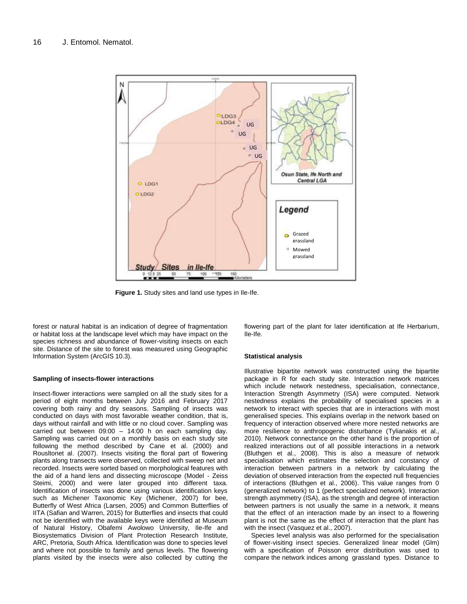

**Figure 1.** Study sites and land use types in Ile-Ife.

forest or natural habitat is an indication of degree of fragmentation or habitat loss at the landscape level which may have impact on the species richness and abundance of flower-visiting insects on each site. Distance of the site to forest was measured using Geographic Information System (ArcGIS 10.3).

#### **Sampling of insects-flower interactions**

Insect-flower interactions were sampled on all the study sites for a period of eight months between July 2016 and February 2017 covering both rainy and dry seasons. Sampling of insects was conducted on days with most favorable weather condition, that is, days without rainfall and with little or no cloud cover. Sampling was carried out between 09:00 – 14:00 h on each sampling day. Sampling was carried out on a monthly basis on each study site following the method described by Cane et al. (2000) and Rousltonet al. (2007). Insects visiting the floral part of flowering plants along transects were observed, collected with sweep net and recorded. Insects were sorted based on morphological features with the aid of a hand lens and dissecting microscope (Model - Zeiss Steimi, 2000) and were later grouped into different taxa. Identification of insects was done using various identification keys such as Michener Taxonomic Key (Michener, 2007) for bee, Butterfly of West Africa (Larsen, 2005) and Common Butterflies of IITA (Safian and Warren, 2015) for Butterflies and insects that could not be identified with the available keys were identified at Museum of Natural History, Obafemi Awolowo University, Ile-Ife and Biosystematics Division of Plant Protection Research Institute, ARC, Pretoria, South Africa. Identification was done to species level and where not possible to family and genus levels. The flowering plants visited by the insects were also collected by cutting the flowering part of the plant for later identification at Ife Herbarium, Ile-Ife.

#### **Statistical analysis**

Illustrative bipartite network was constructed using the bipartite package in R for each study site. Interaction network matrices which include network nestedness, specialisation, connectance, Interaction Strength Asymmetry (ISA) were computed. Network nestedness explains the probability of specialised species in a network to interact with species that are in interactions with most generalised species. This explains overlap in the network based on frequency of interaction observed where more nested networks are more resilience to anthropogenic disturbance (Tylianakis et al., 2010). Network connectance on the other hand is the proportion of realized interactions out of all possible interactions in a network (Bluthgen et al., 2008). This is also a measure of network specialisation which estimates the selection and constancy of interaction between partners in a network by calculating the deviation of observed interaction from the expected null frequencies of interactions (Bluthgen et al., 2006). This value ranges from 0 (generalized network) to 1 (perfect specialized network). Interaction strength asymmetry (ISA), as the strength and degree of interaction between partners is not usually the same in a network, it means that the effect of an interaction made by an insect to a flowering plant is not the same as the effect of interaction that the plant has with the insect (Vasquez et al., 2007).

Species level analysis was also performed for the specialisation of flower-visiting insect species. Generalized linear model (Glm) with a specification of Poisson error distribution was used to compare the network indices among grassland types. Distance to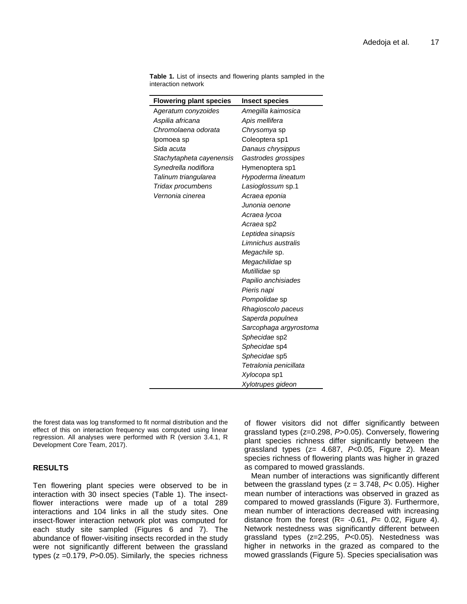| <b>Flowering plant species</b> | <b>Insect species</b>  |
|--------------------------------|------------------------|
| Ageratum conyzoides            | Amegilla kaimosica     |
| Aspilia africana               | Apis mellifera         |
| Chromolaena odorata            | Chrysomya sp           |
| Ipomoea sp                     | Coleoptera sp1         |
| Sida acuta                     | Danaus chrysippus      |
| Stachytapheta cayenensis       | Gastrodes grossipes    |
| Synedrella nodiflora           | Hymenoptera sp1        |
| Talinum triangularea           | Hypoderma lineatum     |
| Tridax procumbens              | Lasioglossum sp.1      |
| Vernonia cinerea               | Acraea eponia          |
|                                | Junonia oenone         |
|                                | Acraea Iycoa           |
|                                | Acraea sp2             |
|                                | Leptidea sinapsis      |
|                                | Limnichus australis    |
|                                | <i>Megachile</i> sp.   |
|                                | <i>Megachilidae</i> sp |
|                                | Mutillidae sp          |
|                                | Papilio anchisiades    |
|                                | Pieris napi            |
|                                | Pompolidae sp          |
|                                | Rhagioscolo paceus     |
|                                | Saperda populnea       |
|                                | Sarcophaga argyrostoma |
|                                | Sphecidae sp2          |
|                                | Sphecidae sp4          |
|                                | Sphecidae sp5          |
|                                | Tetralonia penicillata |
|                                | Xylocopa sp1           |
|                                | Xylotrupes gideon      |

**Table 1.** List of insects and flowering plants sampled in the interaction network

the forest data was log transformed to fit normal distribution and the effect of this on interaction frequency was computed using linear regression. All analyses were performed with R (version 3.4.1, R Development Core Team, 2017).

# **RESULTS**

Ten flowering plant species were observed to be in interaction with 30 insect species (Table 1). The insectflower interactions were made up of a total 289 interactions and 104 links in all the study sites. One insect-flower interaction network plot was computed for each study site sampled (Figures 6 and 7). The abundance of flower-visiting insects recorded in the study were not significantly different between the grassland types (z =0.179, *P*>0.05). Similarly, the species richness of flower visitors did not differ significantly between grassland types (z=0.298, *P*>0.05). Conversely, flowering plant species richness differ significantly between the grassland types (z= 4.687, *P*<0.05, Figure 2). Mean species richness of flowering plants was higher in grazed as compared to mowed grasslands.

Mean number of interactions was significantly different between the grassland types (z = 3.748, *P*< 0.05). Higher mean number of interactions was observed in grazed as compared to mowed grasslands (Figure 3). Furthermore, mean number of interactions decreased with increasing distance from the forest (R= -0.61, *P*= 0.02, Figure 4). Network nestedness was significantly different between grassland types (z=2.295, *P*<0.05). Nestedness was higher in networks in the grazed as compared to the mowed grasslands (Figure 5). Species specialisation was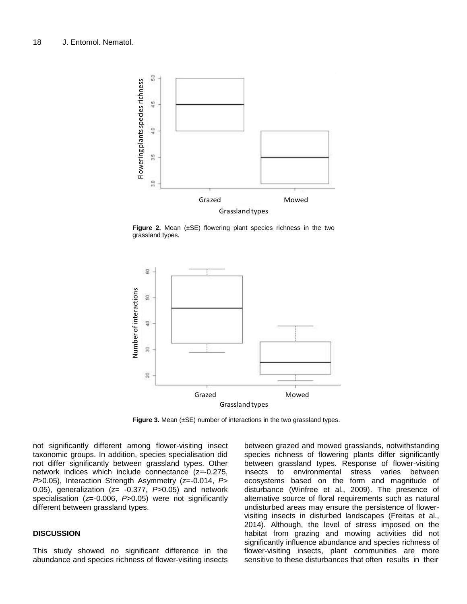

**Figure 2.** Mean (±SE) flowering plant species richness in the two grassland types.



**Figure 3.** Mean (±SE) number of interactions in the two grassland types.

not significantly different among flower-visiting insect taxonomic groups. In addition, species specialisation did not differ significantly between grassland types. Other network indices which include connectance (z=-0.275, *P*>0.05), Interaction Strength Asymmetry (z=-0.014, *P*> 0.05), generalization (z= -0.377, *P*>0.05) and network specialisation (z=-0.006, *P*>0.05) were not significantly different between grassland types.

# **DISCUSSION**

This study showed no significant difference in the abundance and species richness of flower-visiting insects

between grazed and mowed grasslands, notwithstanding species richness of flowering plants differ significantly between grassland types. Response of flower-visiting insects to environmental stress varies between ecosystems based on the form and magnitude of disturbance (Winfree et al., 2009). The presence of alternative source of floral requirements such as natural undisturbed areas may ensure the persistence of flowervisiting insects in disturbed landscapes (Freitas et al., 2014). Although, the level of stress imposed on the habitat from grazing and mowing activities did not significantly influence abundance and species richness of flower-visiting insects, plant communities are more sensitive to these disturbances that often results in their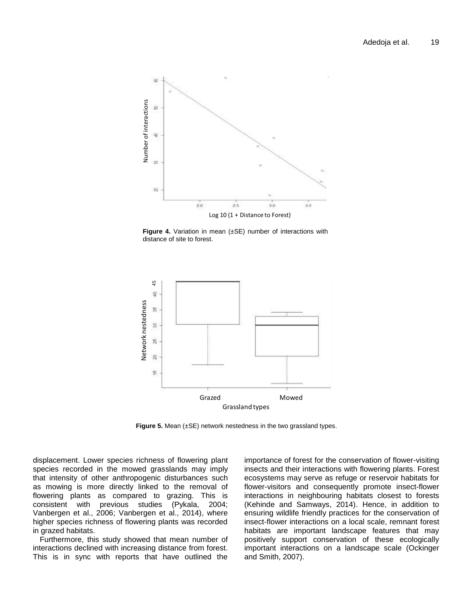

**Figure 4.** Variation in mean (±SE) number of interactions with distance of site to forest.



**Figure 5.** Mean (±SE) network nestedness in the two grassland types.

displacement. Lower species richness of flowering plant species recorded in the mowed grasslands may imply that intensity of other anthropogenic disturbances such as mowing is more directly linked to the removal of flowering plants as compared to grazing. This is consistent with previous studies (Pykala, 2004; Vanbergen et al., 2006; Vanbergen et al., 2014), where higher species richness of flowering plants was recorded in grazed habitats.

Furthermore, this study showed that mean number of interactions declined with increasing distance from forest. This is in sync with reports that have outlined the importance of forest for the conservation of flower-visiting insects and their interactions with flowering plants. Forest ecosystems may serve as refuge or reservoir habitats for flower-visitors and consequently promote insect-flower interactions in neighbouring habitats closest to forests (Kehinde and Samways, 2014). Hence, in addition to ensuring wildlife friendly practices for the conservation of insect-flower interactions on a local scale, remnant forest habitats are important landscape features that may positively support conservation of these ecologically important interactions on a landscape scale (Ockinger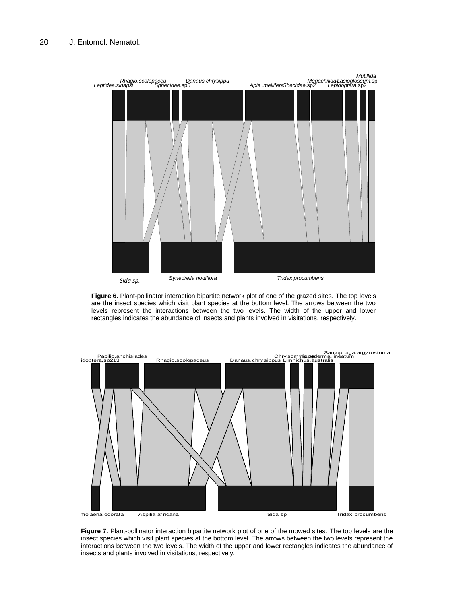

**Figure 6.** Plant-pollinator interaction bipartite network plot of one of the grazed sites. The top levels are the insect species which visit plant species at the bottom level. The arrows between the two levels represent the interactions between the two levels. The width of the upper and lower rectangles indicates the abundance of insects and plants involved in visitations, respectively.



**Figure 7.** Plant-pollinator interaction bipartite network plot of one of the mowed sites. The top levels are the insect species which visit plant species at the bottom level. The arrows between the two levels represent the interactions between the two levels. The width of the upper and lower rectangles indicates the abundance of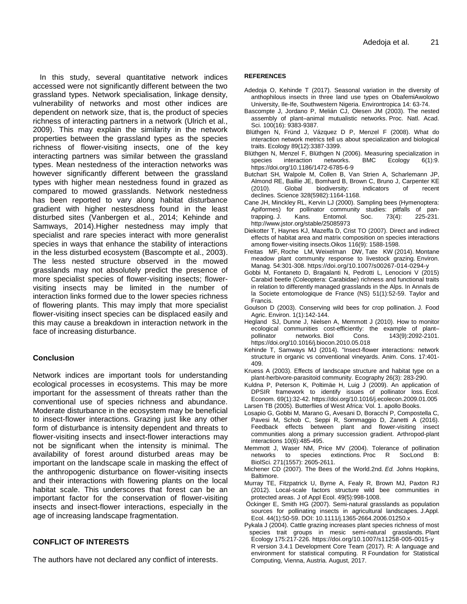In this study, several quantitative network indices accessed were not significantly different between the two grassland types. Network specialisation, linkage density, vulnerability of networks and most other indices are dependent on network size, that is, the product of species richness of interacting partners in a network (Ulrich et al., 2009). This may explain the similarity in the network properties between the grassland types as the species richness of flower-visiting insects, one of the key interacting partners was similar between the grassland types. Mean nestedness of the interaction networks was however significantly different between the grassland types with higher mean nestedness found in grazed as compared to mowed grasslands. Network nestedness has been reported to vary along habitat disturbance gradient with higher nestesdness found in the least disturbed sites (Vanbergen et al., 2014; Kehinde and Samways, 2014).Higher nestedness may imply that specialist and rare species interact with more generalist species in ways that enhance the stability of interactions in the less disturbed ecosystem (Bascompte et al., 2003). The less nested structure observed in the mowed grasslands may not absolutely predict the presence of more specialist species of flower-visiting insects; flowervisiting insects may be limited in the number of interaction links formed due to the lower species richness of flowering plants. This may imply that more specialist flower-visiting insect species can be displaced easily and this may cause a breakdown in interaction network in the face of increasing disturbance.

## **Conclusion**

Network indices are important tools for understanding ecological processes in ecosystems. This may be more important for the assessment of threats rather than the conventional use of species richness and abundance. Moderate disturbance in the ecosystem may be beneficial to insect-flower interactions. Grazing just like any other form of disturbance is intensity dependent and threats to flower-visiting insects and insect-flower interactions may not be significant when the intensity is minimal. The availability of forest around disturbed areas may be important on the landscape scale in masking the effect of the anthropogenic disturbance on flower-visiting insects and their interactions with flowering plants on the local habitat scale. This underscores that forest can be an important factor for the conservation of flower-visiting insects and insect-flower interactions, especially in the age of increasing landscape fragmentation.

# **CONFLICT OF INTERESTS**

The authors have not declared any conflict of interests.

#### **REFERENCES**

- Adedoja O, Kehinde T (2017). Seasonal variation in the diversity of anthophilous insects in three land use types on ObafemiAwolowo University, Ile-Ife, Southwestern Nigeria. Environtropica 14: 63-74.
- Bascompte J, Jordano P, Melián CJ, Olesen JM (2003). The nested assembly of plant–animal mutualistic networks. Proc. Natl. Acad. Sci. 100(16): 9383-9387.
- Blüthgen N, Fründ J, Vázquez D P, Menzel F (2008). What do interaction network metrics tell us about specialization and biological traits. Ecology 89(12):3387-3399.
- Blüthgen N, Menzel F, Blüthgen N (2006). Measuring specialization in species interaction networks. BMC Ecology 6(1):9. https://doi.org/10.1186/1472-6785-6-9
- Butchart SH, Walpole M, Collen B, Van Strien A, Scharlemann JP, Almond RE, Baillie JE, Bomhard B, Brown C, Bruno J, Carpenter KE<br>(2010). Global biodiversity: indicators of recent (2010). Global biodiversity: indicators of declines. Science 328(5982):1164-1168.
- Cane JH, Minckley RL, Kervin LJ (2000). Sampling bees (Hymenoptera: Apiformes) for pollinator community studies: pitfalls of pantrapping. J. Kans. Entomol. Soc. 73(4): 225-231. http://www.jstor.org/stable/25085973
- Diekotter T, Haynes KJ, Mazeffa D, Crist TO (2007). Direct and indirect effects of habitat area and matrix composition on species interactions among flower-visiting insects.Oikos 116(9): 1588-1598.
- Freitas MF, Roche LM, Weixelman DW, Tate KW (2014). Montane meadow plant community response to livestock grazing. Environ. Manag. 54:301-308. https://doi.org/10.1007/s00267-014-0294-y
- Gobbi M, Fontaneto D, Bragalanti N, Pedrotti L, Lenocioni V (2015) Carabid beetle (Coleoptera: Carabidae) richness and functional traits in relation to differently managed grasslands in the Alps. In Annals de la Societe entomologique de France (NS) 51(1):52-59. Taylor and Francis.
- Goulson D (2003). Conserving wild bees for crop pollination. J. Food Agric. Environ. 1(1):142-144.
- Hegland SJ, Dunne J, Nielsen A, Memmott J (2010). How to monitor ecological communities cost-efficiently: the example of plant– pollinator networks. Biol Cons. 143(9):2092-2101. https://doi.org/10.1016/j.biocon.2010.05.018
- Kehinde T, Samways MJ (2014). "Insect-flower interactions: network structure in organic vs conventional vineyards. Anim. Cons. 17:401- 409.
- Kruess A (2003). Effects of landscape structure and habitat type on a plant-herbivore-parasitoid community. Ecography 26(3): 283-290.
- Kuldna P, Peterson K, Poltimäe H, Luig J (2009). An application of DPSIR framework to identify issues of pollinator loss. Ecol. Econom. 69(1):32-42. https://doi.org/10.1016/j.ecolecon.2009.01.005 Larsen TB (2005). Butterflies of West Africa: Vol. 1. apollo Books.
- Losapio G, Gobbi M, Marano G, Avesani D, Boracchi P, Compostella C, Pavesi M, Schob C, Seppi R, Sommaggio D, Zanetti A (2016). Feedback effects between plant and flower-visiting insect communities along a primary succession gradient. Arthropod-plant
- interactions 10(6):485-495. Memmott J, Waser NM, Price MV (2004). Tolerance of pollination networks to species extinctions. Proc R SocLond B:
- BiolSci. 271(1557): 2605-2611. Michener CD (2007). The Bees of the World.2nd. *Ed.* Johns Hopkins, Baltimore.
- Murray TE, Fitzpatrick U, Byrne A, Fealy R, Brown MJ, Paxton RJ (2012). Local-scale factors structure wild bee communities in protected areas. J of Appl Ecol. 49(5):998-1008.
- Öckinger E, Smith HG (2007). Semi-natural grasslands as population sources for pollinating insects in agricultural landscapes. J.Appl. Ecol. 44(1):50-59. DOI: 10.1111/j.1365-2664.2006.01250.x
- Pykala J (2004). Cattle grazing increases plant species richness of most species trait groups in mesic semi-natural grasslands. Plant Ecology 175:217-226. https://doi.org/10.1007/s11258-005-0015-y R version 3.4.1 Development Core Team (2017). R: A language and environment for statistical computing. R Foundation for Statistical Computing, Vienna, Austria. August, 2017.